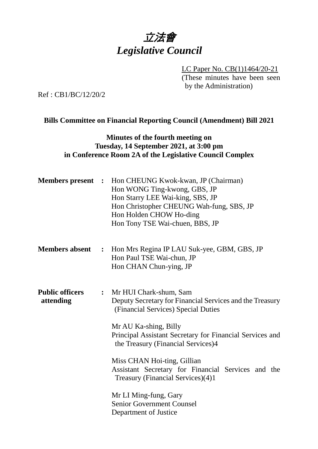# 立法會 *Legislative Council*

LC Paper No. CB(1)1464/20-21 (These minutes have been seen by the Administration)

Ref : CB1/BC/12/20/2

#### **Bills Committee on Financial Reporting Council (Amendment) Bill 2021**

#### **Minutes of the fourth meeting on Tuesday, 14 September 2021, at 3:00 pm in Conference Room 2A of the Legislative Council Complex**

| <b>Members</b> present              | $\ddot{\cdot}$ | Hon CHEUNG Kwok-kwan, JP (Chairman)<br>Hon WONG Ting-kwong, GBS, JP<br>Hon Starry LEE Wai-king, SBS, JP<br>Hon Christopher CHEUNG Wah-fung, SBS, JP<br>Hon Holden CHOW Ho-ding<br>Hon Tony TSE Wai-chuen, BBS, JP                                                                                                                                                                                                                                                    |
|-------------------------------------|----------------|----------------------------------------------------------------------------------------------------------------------------------------------------------------------------------------------------------------------------------------------------------------------------------------------------------------------------------------------------------------------------------------------------------------------------------------------------------------------|
| <b>Members absent</b>               | $\ddot{\cdot}$ | Hon Mrs Regina IP LAU Suk-yee, GBM, GBS, JP<br>Hon Paul TSE Wai-chun, JP<br>Hon CHAN Chun-ying, JP                                                                                                                                                                                                                                                                                                                                                                   |
| <b>Public officers</b><br>attending | $\ddot{\cdot}$ | Mr HUI Chark-shum, Sam<br>Deputy Secretary for Financial Services and the Treasury<br>(Financial Services) Special Duties<br>Mr AU Ka-shing, Billy<br>Principal Assistant Secretary for Financial Services and<br>the Treasury (Financial Services)4<br>Miss CHAN Hoi-ting, Gillian<br>Assistant Secretary for Financial Services and the<br>Treasury (Financial Services)(4)1<br>Mr LI Ming-fung, Gary<br><b>Senior Government Counsel</b><br>Department of Justice |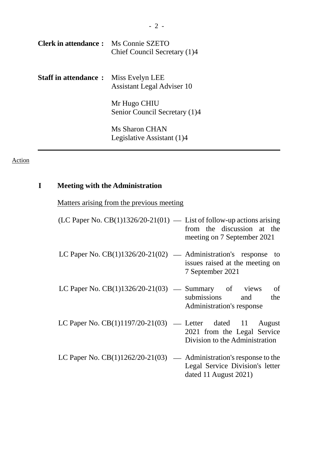| <b>Clerk in attendance:</b> Ms Connie SZETO  | Chief Council Secretary (1)4                  |
|----------------------------------------------|-----------------------------------------------|
| <b>Staff in attendance :</b> Miss Evelyn LEE | <b>Assistant Legal Adviser 10</b>             |
|                                              | Mr Hugo CHIU<br>Senior Council Secretary (1)4 |
|                                              | Ms Sharon CHAN<br>Legislative Assistant (1)4  |

# Action

# **I Meeting with the Administration**

|  |  | Matters arising from the previous meeting |  |
|--|--|-------------------------------------------|--|
|  |  |                                           |  |

| (LC Paper No. $CB(1)1326/20-21(01)$ — List of follow-up actions arising | from the discussion at the<br>meeting on 7 September 2021     |
|-------------------------------------------------------------------------|---------------------------------------------------------------|
| LC Paper No. $CB(1)1326/20-21(02)$ — Administration's response to       | issues raised at the meeting on<br>7 September 2021           |
| LC Paper No. $CB(1)1326/20-21(03)$ — Summary of views                   | of<br>submissions and<br>the<br>Administration's response     |
| LC Paper No. $CB(1)1197/20-21(03)$ — Letter dated 11 August             | 2021 from the Legal Service<br>Division to the Administration |
| LC Paper No. $CB(1)1262/20-21(03)$ — Administration's response to the   | Legal Service Division's letter<br>dated 11 August 2021)      |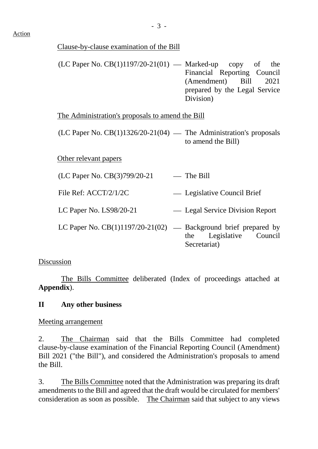#### Clause-by-clause examination of the Bill

 $(LC$  Paper No.  $CB(1)1197/20-21(01)$  — Marked-up copy of the Financial Reporting Council (Amendment) Bill 2021 prepared by the Legal Service Division)

The Administration's proposals to amend the Bill

 $(LC$  Paper No.  $CB(1)1326/20-21(04)$  — The Administration's proposals to amend the Bill)

Other relevant papers

|  |  | (LC Paper No. CB(3)799/20-21 | — The Bill |
|--|--|------------------------------|------------|
|--|--|------------------------------|------------|

File Ref: ACCT/2/1/2C Legislative Council Brief

LC Paper No. LS98/20-21 - Legal Service Division Report

LC Paper No.  $CB(1)1197/20-21(02)$  — Background brief prepared by the Legislative Council Secretariat)

# Discussion

The Bills Committee deliberated (Index of proceedings attached at **Appendix**).

# **II Any other business**

Meeting arrangement

2. The Chairman said that the Bills Committee had completed clause-by-clause examination of the Financial Reporting Council (Amendment) Bill 2021 ("the Bill"), and considered the Administration's proposals to amend the Bill.

3. The Bills Committee noted that the Administration was preparing its draft amendments to the Bill and agreed that the draft would be circulated for members' consideration as soon as possible. The Chairman said that subject to any views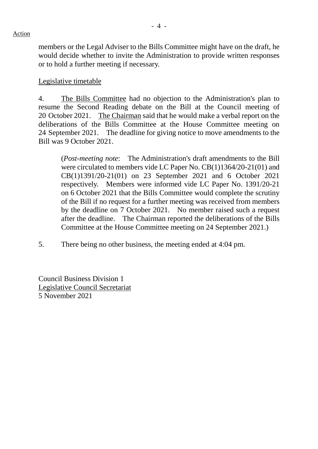members or the Legal Adviser to the Bills Committee might have on the draft, he would decide whether to invite the Administration to provide written responses or to hold a further meeting if necessary.

#### Legislative timetable

4. The Bills Committee had no objection to the Administration's plan to resume the Second Reading debate on the Bill at the Council meeting of 20 October 2021. The Chairman said that he would make a verbal report on the deliberations of the Bills Committee at the House Committee meeting on 24 September 2021. The deadline for giving notice to move amendments to the Bill was 9 October 2021.

(*Post-meeting note*: The Administration's draft amendments to the Bill were circulated to members vide LC Paper No. CB(1)1364/20-21(01) and CB(1)1391/20-21(01) on 23 September 2021 and 6 October 2021 respectively. Members were informed vide LC Paper No. 1391/20-21 on 6 October 2021 that the Bills Committee would complete the scrutiny of the Bill if no request for a further meeting was received from members by the deadline on 7 October 2021. No member raised such a request after the deadline. The Chairman reported the deliberations of the Bills Committee at the House Committee meeting on 24 September 2021.)

5. There being no other business, the meeting ended at 4:04 pm.

Council Business Division 1 Legislative Council Secretariat 5 November 2021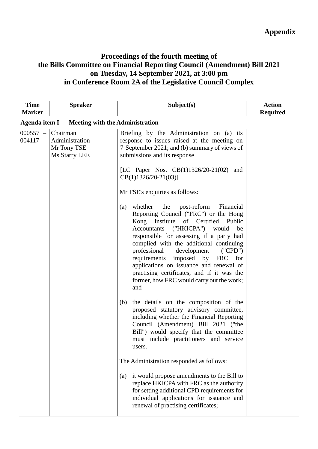## **Proceedings of the fourth meeting of the Bills Committee on Financial Reporting Council (Amendment) Bill 2021 on Tuesday, 14 September 2021, at 3:00 pm in Conference Room 2A of the Legislative Council Complex**

| <b>Time</b><br><b>Marker</b> | <b>Speaker</b>                                             | Subject(s)                                                                                                                                                                                                                                                                                                                                                                                                                                                                                    | <b>Action</b><br><b>Required</b> |
|------------------------------|------------------------------------------------------------|-----------------------------------------------------------------------------------------------------------------------------------------------------------------------------------------------------------------------------------------------------------------------------------------------------------------------------------------------------------------------------------------------------------------------------------------------------------------------------------------------|----------------------------------|
|                              | Agenda item I — Meeting with the Administration            |                                                                                                                                                                                                                                                                                                                                                                                                                                                                                               |                                  |
| $000557 -$<br>004117         | Chairman<br>Administration<br>Mr Tony TSE<br>Ms Starry LEE | Briefing by the Administration on (a) its<br>response to issues raised at the meeting on<br>7 September 2021; and (b) summary of views of<br>submissions and its response                                                                                                                                                                                                                                                                                                                     |                                  |
|                              |                                                            | [LC Paper Nos. CB(1)1326/20-21(02) and<br>$CB(1)1326/20-21(03)$                                                                                                                                                                                                                                                                                                                                                                                                                               |                                  |
|                              |                                                            | Mr TSE's enquiries as follows:                                                                                                                                                                                                                                                                                                                                                                                                                                                                |                                  |
|                              |                                                            | whether<br>the<br>post-reform<br>Financial<br>(a)<br>Reporting Council ("FRC") or the Hong<br>Kong Institute<br>of Certified Public<br>Accountants<br>("HKICPA") would<br>be<br>responsible for assessing if a party had<br>complied with the additional continuing<br>development<br>professional<br>('CPD")<br>requirements imposed by FRC for<br>applications on issuance and renewal of<br>practising certificates, and if it was the<br>former, how FRC would carry out the work;<br>and |                                  |
|                              |                                                            | the details on the composition of the<br>(b)<br>proposed statutory advisory committee,<br>including whether the Financial Reporting<br>Council (Amendment) Bill 2021 ("the<br>Bill") would specify that the committee<br>must include practitioners and service<br>users.                                                                                                                                                                                                                     |                                  |
|                              |                                                            | The Administration responded as follows:                                                                                                                                                                                                                                                                                                                                                                                                                                                      |                                  |
|                              |                                                            | it would propose amendments to the Bill to<br>(a)<br>replace HKICPA with FRC as the authority<br>for setting additional CPD requirements for<br>individual applications for issuance and<br>renewal of practising certificates;                                                                                                                                                                                                                                                               |                                  |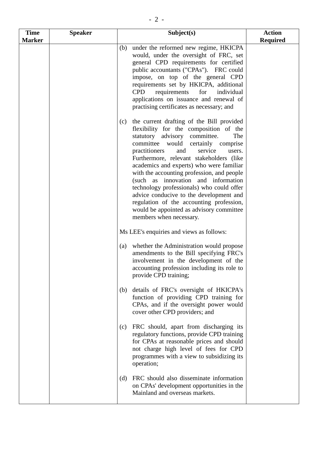| <b>Time</b>   | <b>Speaker</b> | Subject(s)                                                                                                                                                                                                                                                                                                                                                                                                                                                                                                                                                                                                       | <b>Action</b>   |
|---------------|----------------|------------------------------------------------------------------------------------------------------------------------------------------------------------------------------------------------------------------------------------------------------------------------------------------------------------------------------------------------------------------------------------------------------------------------------------------------------------------------------------------------------------------------------------------------------------------------------------------------------------------|-----------------|
| <b>Marker</b> |                |                                                                                                                                                                                                                                                                                                                                                                                                                                                                                                                                                                                                                  | <b>Required</b> |
|               |                | under the reformed new regime, HKICPA<br>(b)<br>would, under the oversight of FRC, set<br>general CPD requirements for certified<br>public accountants ("CPAs"). FRC could<br>impose, on top of the general CPD<br>requirements set by HKICPA, additional<br>requirements<br>for<br>individual<br><b>CPD</b><br>applications on issuance and renewal of<br>practising certificates as necessary; and                                                                                                                                                                                                             |                 |
|               |                | the current drafting of the Bill provided<br>(c)<br>flexibility for the composition of the<br>statutory advisory committee.<br>The<br>committee would<br>certainly comprise<br>practitioners<br>service<br>and<br>users.<br>Furthermore, relevant stakeholders (like<br>academics and experts) who were familiar<br>with the accounting profession, and people<br>(such as innovation and information<br>technology professionals) who could offer<br>advice conducive to the development and<br>regulation of the accounting profession,<br>would be appointed as advisory committee<br>members when necessary. |                 |
|               |                | Ms LEE's enquiries and views as follows:                                                                                                                                                                                                                                                                                                                                                                                                                                                                                                                                                                         |                 |
|               |                | whether the Administration would propose<br>(a)<br>amendments to the Bill specifying FRC's<br>involvement in the development of the<br>accounting profession including its role to<br>provide CPD training;                                                                                                                                                                                                                                                                                                                                                                                                      |                 |
|               |                | details of FRC's oversight of HKICPA's<br>(b)<br>function of providing CPD training for<br>CPAs, and if the oversight power would<br>cover other CPD providers; and                                                                                                                                                                                                                                                                                                                                                                                                                                              |                 |
|               |                | FRC should, apart from discharging its<br>(c)<br>regulatory functions, provide CPD training<br>for CPAs at reasonable prices and should<br>not charge high level of fees for CPD<br>programmes with a view to subsidizing its<br>operation;                                                                                                                                                                                                                                                                                                                                                                      |                 |
|               |                | FRC should also disseminate information<br>(d)<br>on CPAs' development opportunities in the<br>Mainland and overseas markets.                                                                                                                                                                                                                                                                                                                                                                                                                                                                                    |                 |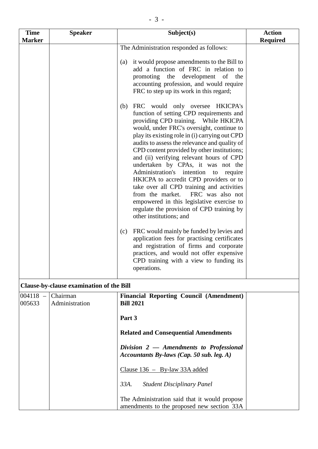| <b>Time</b>          | <b>Speaker</b>                           | Subject(s)                                                                                                                                                                                                                                                                                                                                                                                                                                                                                                                                                                                                                                                                                                                                                                                                                                                                                                                                                                                                                                          | <b>Action</b>   |
|----------------------|------------------------------------------|-----------------------------------------------------------------------------------------------------------------------------------------------------------------------------------------------------------------------------------------------------------------------------------------------------------------------------------------------------------------------------------------------------------------------------------------------------------------------------------------------------------------------------------------------------------------------------------------------------------------------------------------------------------------------------------------------------------------------------------------------------------------------------------------------------------------------------------------------------------------------------------------------------------------------------------------------------------------------------------------------------------------------------------------------------|-----------------|
| <b>Marker</b>        |                                          |                                                                                                                                                                                                                                                                                                                                                                                                                                                                                                                                                                                                                                                                                                                                                                                                                                                                                                                                                                                                                                                     | <b>Required</b> |
|                      |                                          | The Administration responded as follows:<br>it would propose amendments to the Bill to<br>(a)<br>add a function of FRC in relation to<br>promoting the development of the                                                                                                                                                                                                                                                                                                                                                                                                                                                                                                                                                                                                                                                                                                                                                                                                                                                                           |                 |
|                      |                                          | accounting profession, and would require<br>FRC to step up its work in this regard;<br>FRC would only oversee HKICPA's<br>(b)<br>function of setting CPD requirements and<br>providing CPD training. While HKICPA<br>would, under FRC's oversight, continue to<br>play its existing role in (i) carrying out CPD<br>audits to assess the relevance and quality of<br>CPD content provided by other institutions;<br>and (ii) verifying relevant hours of CPD<br>undertaken by CPAs, it was not the<br>Administration's intention to require<br>HKICPA to accredit CPD providers or to<br>take over all CPD training and activities<br>FRC was also not<br>from the market.<br>empowered in this legislative exercise to<br>regulate the provision of CPD training by<br>other institutions; and<br>FRC would mainly be funded by levies and<br>(c)<br>application fees for practising certificates<br>and registration of firms and corporate<br>practices, and would not offer expensive<br>CPD training with a view to funding its<br>operations. |                 |
|                      | Clause-by-clause examination of the Bill |                                                                                                                                                                                                                                                                                                                                                                                                                                                                                                                                                                                                                                                                                                                                                                                                                                                                                                                                                                                                                                                     |                 |
| $004118 -$<br>005633 | Chairman<br>Administration               | <b>Financial Reporting Council (Amendment)</b><br><b>Bill 2021</b><br>Part 3<br><b>Related and Consequential Amendments</b><br>Division $2$ – Amendments to Professional<br>Accountants By-laws (Cap. 50 sub. leg. $A$ )<br>Clause $136 - By-law 33A added$<br>33A.<br><b>Student Disciplinary Panel</b>                                                                                                                                                                                                                                                                                                                                                                                                                                                                                                                                                                                                                                                                                                                                            |                 |
|                      |                                          | The Administration said that it would propose<br>amendments to the proposed new section 33A                                                                                                                                                                                                                                                                                                                                                                                                                                                                                                                                                                                                                                                                                                                                                                                                                                                                                                                                                         |                 |